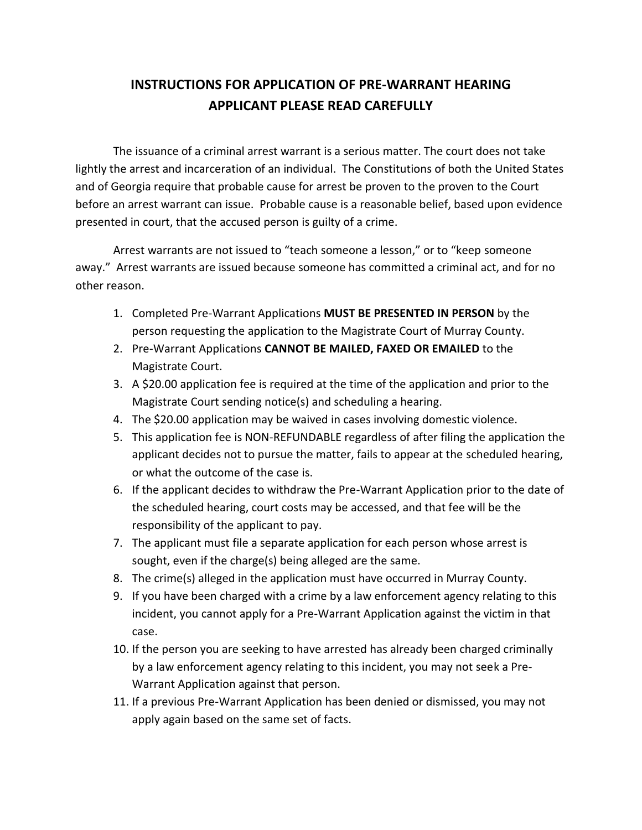## **INSTRUCTIONS FOR APPLICATION OF PRE-WARRANT HEARING APPLICANT PLEASE READ CAREFULLY**

The issuance of a criminal arrest warrant is a serious matter. The court does not take lightly the arrest and incarceration of an individual. The Constitutions of both the United States and of Georgia require that probable cause for arrest be proven to the proven to the Court before an arrest warrant can issue. Probable cause is a reasonable belief, based upon evidence presented in court, that the accused person is guilty of a crime.

Arrest warrants are not issued to "teach someone a lesson," or to "keep someone away." Arrest warrants are issued because someone has committed a criminal act, and for no other reason.

- 1. Completed Pre-Warrant Applications **MUST BE PRESENTED IN PERSON** by the person requesting the application to the Magistrate Court of Murray County.
- 2. Pre-Warrant Applications **CANNOT BE MAILED, FAXED OR EMAILED** to the Magistrate Court.
- 3. A \$20.00 application fee is required at the time of the application and prior to the Magistrate Court sending notice(s) and scheduling a hearing.
- 4. The \$20.00 application may be waived in cases involving domestic violence.
- 5. This application fee is NON-REFUNDABLE regardless of after filing the application the applicant decides not to pursue the matter, fails to appear at the scheduled hearing, or what the outcome of the case is.
- 6. If the applicant decides to withdraw the Pre-Warrant Application prior to the date of the scheduled hearing, court costs may be accessed, and that fee will be the responsibility of the applicant to pay.
- 7. The applicant must file a separate application for each person whose arrest is sought, even if the charge(s) being alleged are the same.
- 8. The crime(s) alleged in the application must have occurred in Murray County.
- 9. If you have been charged with a crime by a law enforcement agency relating to this incident, you cannot apply for a Pre-Warrant Application against the victim in that case.
- 10. If the person you are seeking to have arrested has already been charged criminally by a law enforcement agency relating to this incident, you may not seek a Pre-Warrant Application against that person.
- 11. If a previous Pre-Warrant Application has been denied or dismissed, you may not apply again based on the same set of facts.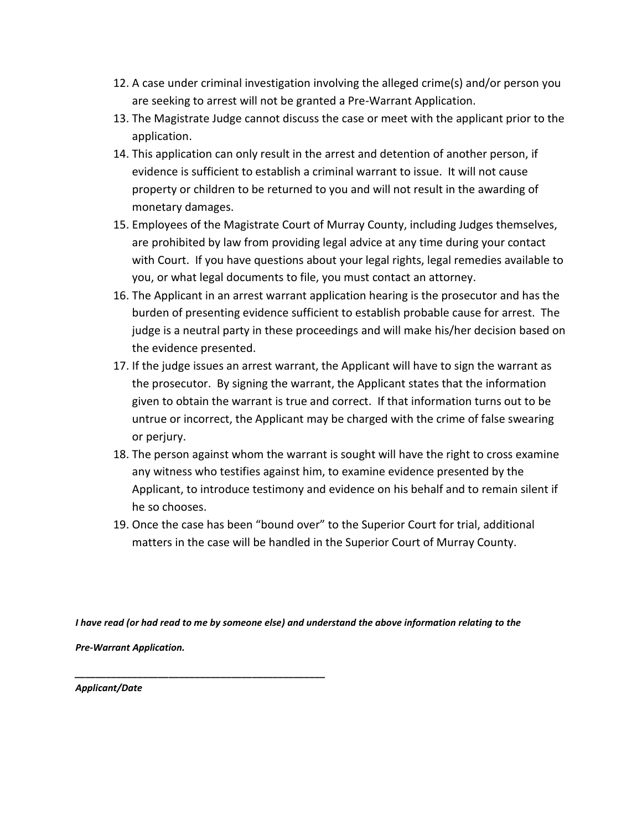- 12. A case under criminal investigation involving the alleged crime(s) and/or person you are seeking to arrest will not be granted a Pre-Warrant Application.
- 13. The Magistrate Judge cannot discuss the case or meet with the applicant prior to the application.
- 14. This application can only result in the arrest and detention of another person, if evidence is sufficient to establish a criminal warrant to issue. It will not cause property or children to be returned to you and will not result in the awarding of monetary damages.
- 15. Employees of the Magistrate Court of Murray County, including Judges themselves, are prohibited by law from providing legal advice at any time during your contact with Court. If you have questions about your legal rights, legal remedies available to you, or what legal documents to file, you must contact an attorney.
- 16. The Applicant in an arrest warrant application hearing is the prosecutor and has the burden of presenting evidence sufficient to establish probable cause for arrest. The judge is a neutral party in these proceedings and will make his/her decision based on the evidence presented.
- 17. If the judge issues an arrest warrant, the Applicant will have to sign the warrant as the prosecutor. By signing the warrant, the Applicant states that the information given to obtain the warrant is true and correct. If that information turns out to be untrue or incorrect, the Applicant may be charged with the crime of false swearing or perjury.
- 18. The person against whom the warrant is sought will have the right to cross examine any witness who testifies against him, to examine evidence presented by the Applicant, to introduce testimony and evidence on his behalf and to remain silent if he so chooses.
- 19. Once the case has been "bound over" to the Superior Court for trial, additional matters in the case will be handled in the Superior Court of Murray County.

*I have read (or had read to me by someone else) and understand the above information relating to the*

*Pre-Warrant Application.*

*\_\_\_\_\_\_\_\_\_\_\_\_\_\_\_\_\_\_\_\_\_\_\_\_\_\_\_\_\_\_\_\_\_\_\_\_\_\_\_\_\_\_\_\_\_\_\_\_*

*Applicant/Date*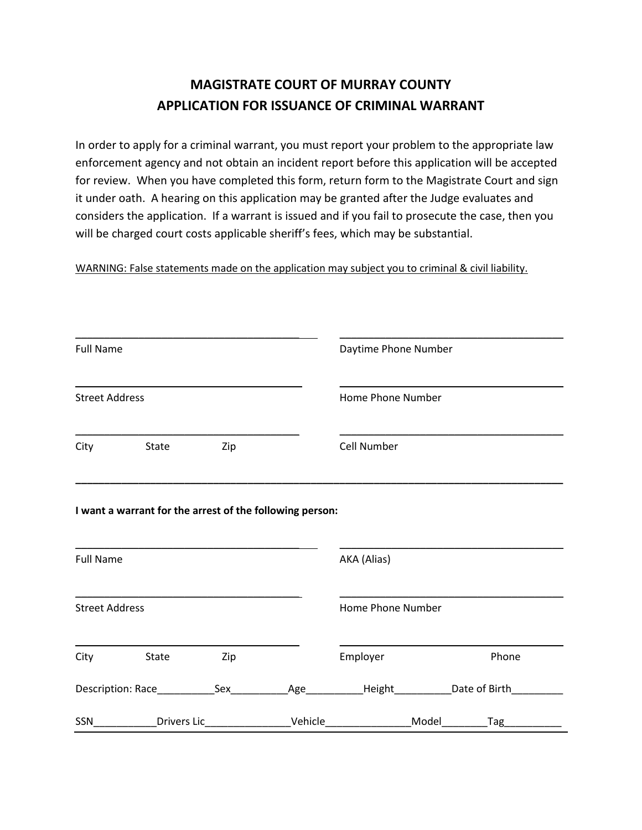## **MAGISTRATE COURT OF MURRAY COUNTY APPLICATION FOR ISSUANCE OF CRIMINAL WARRANT**

In order to apply for a criminal warrant, you must report your problem to the appropriate law enforcement agency and not obtain an incident report before this application will be accepted for review. When you have completed this form, return form to the Magistrate Court and sign it under oath. A hearing on this application may be granted after the Judge evaluates and considers the application. If a warrant is issued and if you fail to prosecute the case, then you will be charged court costs applicable sheriff's fees, which may be substantial.

WARNING: False statements made on the application may subject you to criminal & civil liability.

| <b>Full Name</b>      |                                                          |                                 |         | Daytime Phone Number |              |  |
|-----------------------|----------------------------------------------------------|---------------------------------|---------|----------------------|--------------|--|
| <b>Street Address</b> |                                                          |                                 |         | Home Phone Number    |              |  |
|                       | City State                                               | Zip                             |         | Cell Number          |              |  |
|                       | I want a warrant for the arrest of the following person: |                                 |         |                      |              |  |
| <b>Full Name</b>      |                                                          |                                 |         | AKA (Alias)          |              |  |
| <b>Street Address</b> |                                                          |                                 |         | Home Phone Number    |              |  |
|                       | City State                                               | Zip                             |         | Employer             | Phone        |  |
|                       |                                                          |                                 |         |                      |              |  |
| SSN                   |                                                          | _Drivers Lic___________________ | Vehicle |                      | Model<br>Tag |  |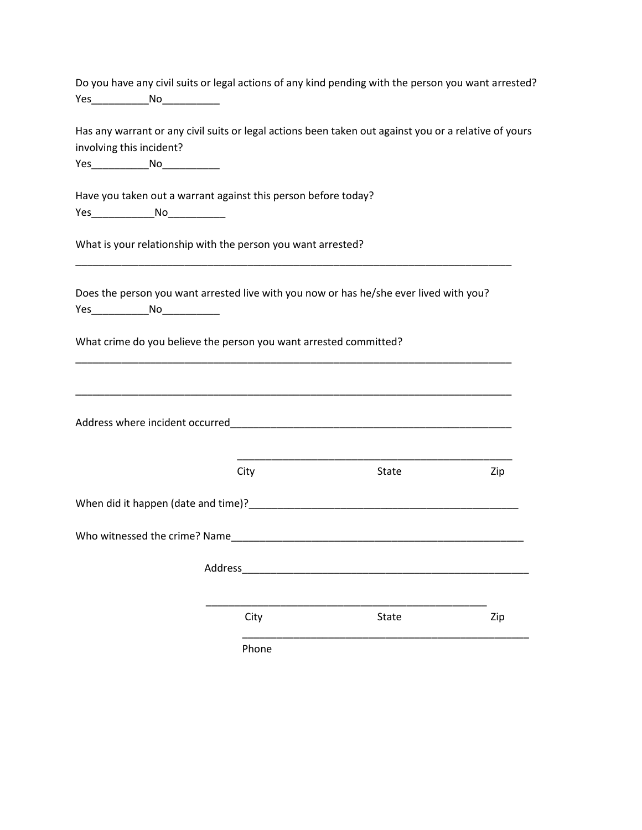|                                                                                                          |         | Do you have any civil suits or legal actions of any kind pending with the person you want arrested?   |     |
|----------------------------------------------------------------------------------------------------------|---------|-------------------------------------------------------------------------------------------------------|-----|
| Yes________________No______________                                                                      |         |                                                                                                       |     |
| involving this incident?<br>Yes_______________No______________                                           |         | Has any warrant or any civil suits or legal actions been taken out against you or a relative of yours |     |
| Have you taken out a warrant against this person before today?<br>Yes__________________No_______________ |         |                                                                                                       |     |
| What is your relationship with the person you want arrested?                                             |         |                                                                                                       |     |
| Yes_______________No_______________                                                                      |         | Does the person you want arrested live with you now or has he/she ever lived with you?                |     |
| What crime do you believe the person you want arrested committed?                                        |         |                                                                                                       |     |
|                                                                                                          |         |                                                                                                       |     |
|                                                                                                          |         |                                                                                                       |     |
|                                                                                                          | City    | State                                                                                                 | Zip |
|                                                                                                          |         |                                                                                                       |     |
| Who witnessed the crime? Name                                                                            |         |                                                                                                       |     |
|                                                                                                          | Address |                                                                                                       |     |
|                                                                                                          | City    | State                                                                                                 | Zip |
|                                                                                                          | Phone   |                                                                                                       |     |